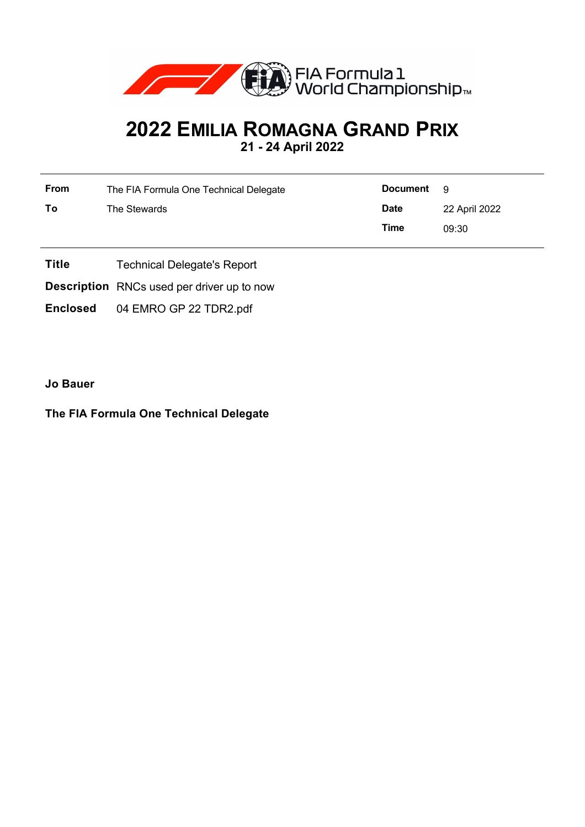

## **2022 EMILIA ROMAGNA GRAND PRIX 21 - 24 April 2022**

| <b>From</b> | The FIA Formula One Technical Delegate | <b>Document</b> | - 9           |
|-------------|----------------------------------------|-----------------|---------------|
| Τo          | The Stewards                           | <b>Date</b>     | 22 April 2022 |
|             |                                        | Time            | 09:30         |

- **Title** Technical Delegate's Report
- **Description** RNCs used per driver up to now
- **Enclosed** 04 EMRO GP 22 TDR2.pdf

**Jo Bauer**

## **The FIA Formula One Technical Delegate**